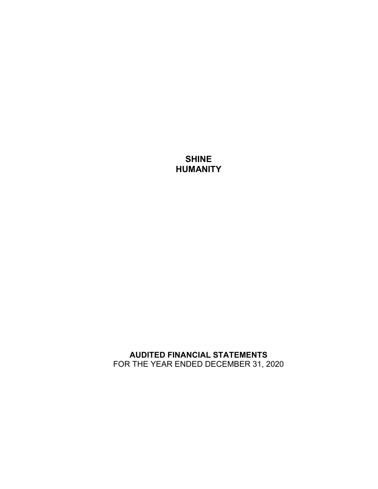# **SHINE HUMANITY**

## **AUDITED FINANCIAL STATEMENTS**  FOR THE YEAR ENDED DECEMBER 31, 2020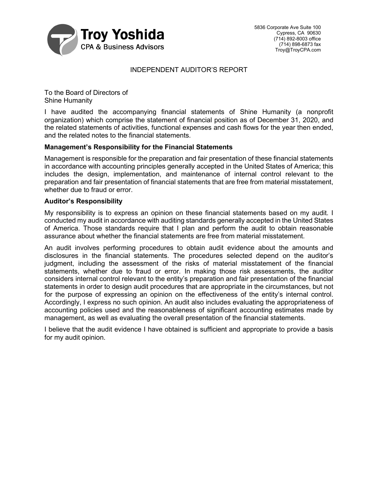

## INDEPENDENT AUDITOR'S REPORT

To the Board of Directors of Shine Humanity

I have audited the accompanying financial statements of Shine Humanity (a nonprofit organization) which comprise the statement of financial position as of December 31, 2020, and the related statements of activities, functional expenses and cash flows for the year then ended, and the related notes to the financial statements.

## **Management's Responsibility for the Financial Statements**

Management is responsible for the preparation and fair presentation of these financial statements in accordance with accounting principles generally accepted in the United States of America; this includes the design, implementation, and maintenance of internal control relevant to the preparation and fair presentation of financial statements that are free from material misstatement, whether due to fraud or error.

#### **Auditor's Responsibility**

My responsibility is to express an opinion on these financial statements based on my audit. I conducted my audit in accordance with auditing standards generally accepted in the United States of America. Those standards require that I plan and perform the audit to obtain reasonable assurance about whether the financial statements are free from material misstatement.

An audit involves performing procedures to obtain audit evidence about the amounts and disclosures in the financial statements. The procedures selected depend on the auditor's judgment, including the assessment of the risks of material misstatement of the financial statements, whether due to fraud or error. In making those risk assessments, the auditor considers internal control relevant to the entity's preparation and fair presentation of the financial statements in order to design audit procedures that are appropriate in the circumstances, but not for the purpose of expressing an opinion on the effectiveness of the entity's internal control. Accordingly, I express no such opinion. An audit also includes evaluating the appropriateness of accounting policies used and the reasonableness of significant accounting estimates made by management, as well as evaluating the overall presentation of the financial statements.

I believe that the audit evidence I have obtained is sufficient and appropriate to provide a basis for my audit opinion.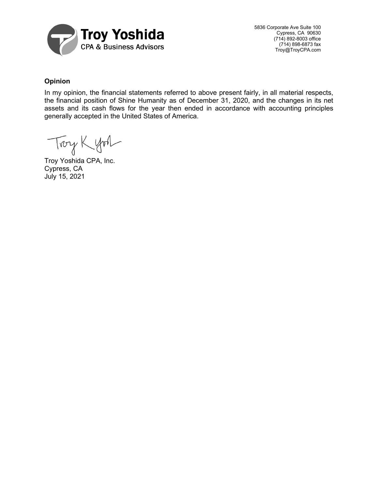

5836 Corporate Ave Suite 100 Cypress, CA 90630 (714) 892-8003 office (714) 898-6873 fax Troy@TroyCPA.com

## **Opinion**

In my opinion, the financial statements referred to above present fairly, in all material respects, the financial position of Shine Humanity as of December 31, 2020, and the changes in its net assets and its cash flows for the year then ended in accordance with accounting principles generally accepted in the United States of America.

Trong Kyon

Troy Yoshida CPA, Inc. Cypress, CA July 15, 2021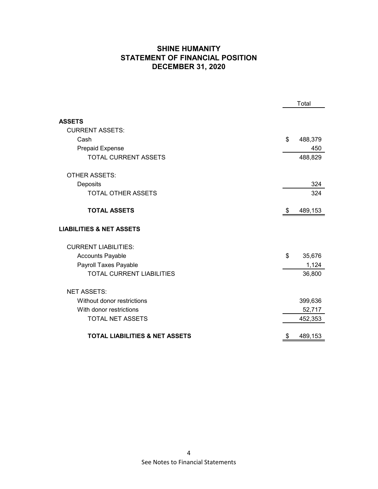## **SHINE HUMANITY STATEMENT OF FINANCIAL POSITION DECEMBER 31, 2020**

|                                           | Total |         |
|-------------------------------------------|-------|---------|
|                                           |       |         |
| <b>ASSETS</b>                             |       |         |
| <b>CURRENT ASSETS:</b>                    |       |         |
| Cash                                      | \$    | 488,379 |
| <b>Prepaid Expense</b>                    |       | 450     |
| <b>TOTAL CURRENT ASSETS</b>               |       | 488,829 |
| <b>OTHER ASSETS:</b>                      |       |         |
| Deposits                                  |       | 324     |
| TOTAL OTHER ASSETS                        |       | 324     |
| <b>TOTAL ASSETS</b>                       | \$    | 489,153 |
| <b>LIABILITIES &amp; NET ASSETS</b>       |       |         |
| <b>CURRENT LIABILITIES:</b>               |       |         |
| <b>Accounts Payable</b>                   | \$    | 35,676  |
| Payroll Taxes Payable                     |       | 1,124   |
| <b>TOTAL CURRENT LIABILITIES</b>          |       | 36,800  |
| <b>NET ASSETS:</b>                        |       |         |
| Without donor restrictions                |       | 399,636 |
| With donor restrictions                   |       | 52,717  |
| <b>TOTAL NET ASSETS</b>                   |       | 452,353 |
| <b>TOTAL LIABILITIES &amp; NET ASSETS</b> | \$    | 489,153 |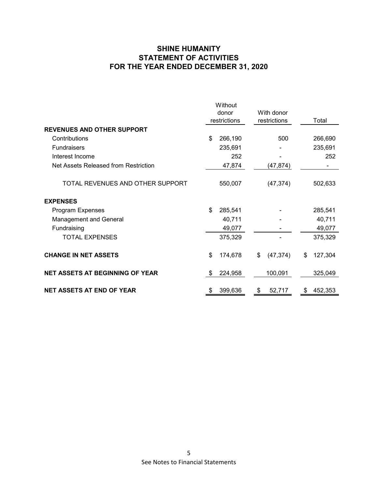## **SHINE HUMANITY STATEMENT OF ACTIVITIES FOR THE YEAR ENDED DECEMBER 31, 2020**

|                                        | Without       |                 |               |
|----------------------------------------|---------------|-----------------|---------------|
|                                        | donor         | With donor      |               |
|                                        | restrictions  | restrictions    | Total         |
| <b>REVENUES AND OTHER SUPPORT</b>      |               |                 |               |
| Contributions                          | \$<br>266,190 | 500             | 266,690       |
| <b>Fundraisers</b>                     | 235,691       |                 | 235,691       |
| Interest Income                        | 252           |                 | 252           |
| Net Assets Released from Restriction   | 47,874        | (47, 874)       |               |
| TOTAL REVENUES AND OTHER SUPPORT       | 550,007       | (47, 374)       | 502,633       |
| <b>EXPENSES</b>                        |               |                 |               |
| Program Expenses                       | \$<br>285,541 |                 | 285,541       |
| <b>Management and General</b>          | 40,711        |                 | 40,711        |
| Fundraising                            | 49,077        |                 | 49,077        |
| <b>TOTAL EXPENSES</b>                  | 375,329       |                 | 375,329       |
| <b>CHANGE IN NET ASSETS</b>            | \$<br>174,678 | \$<br>(47, 374) | \$<br>127,304 |
| <b>NET ASSETS AT BEGINNING OF YEAR</b> | \$<br>224,958 | 100,091         | 325,049       |
| <b>NET ASSETS AT END OF YEAR</b>       | \$<br>399,636 | \$<br>52,717    | \$<br>452,353 |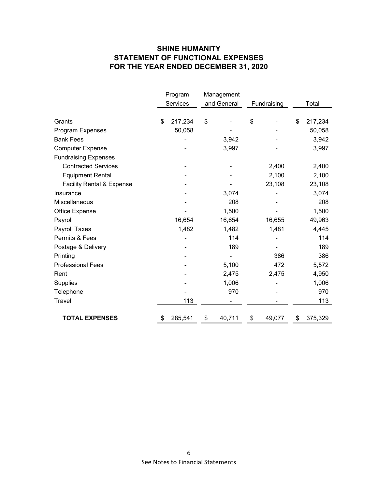## **SHINE HUMANITY STATEMENT OF FUNCTIONAL EXPENSES FOR THE YEAR ENDED DECEMBER 31, 2020**

|                                      | Program       |             | Management |             |        |       |         |
|--------------------------------------|---------------|-------------|------------|-------------|--------|-------|---------|
|                                      | Services      | and General |            | Fundraising |        | Total |         |
|                                      |               |             |            |             |        |       |         |
| Grants                               | \$<br>217,234 | \$          |            | \$          |        | \$    | 217,234 |
| Program Expenses                     | 50,058        |             |            |             |        |       | 50,058  |
| <b>Bank Fees</b>                     |               |             | 3,942      |             |        |       | 3,942   |
| <b>Computer Expense</b>              |               |             | 3,997      |             |        |       | 3,997   |
| <b>Fundraising Expenses</b>          |               |             |            |             |        |       |         |
| <b>Contracted Services</b>           |               |             |            |             | 2,400  |       | 2,400   |
| <b>Equipment Rental</b>              |               |             |            |             | 2,100  |       | 2,100   |
| <b>Facility Rental &amp; Expense</b> |               |             |            |             | 23,108 |       | 23,108  |
| Insurance                            |               |             | 3,074      |             |        |       | 3,074   |
| Miscellaneous                        |               |             | 208        |             |        |       | 208     |
| Office Expense                       |               |             | 1,500      |             |        |       | 1,500   |
| Payroll                              | 16,654        |             | 16,654     |             | 16,655 |       | 49,963  |
| Payroll Taxes                        | 1,482         |             | 1,482      |             | 1,481  |       | 4,445   |
| Permits & Fees                       |               |             | 114        |             |        |       | 114     |
| Postage & Delivery                   |               |             | 189        |             |        |       | 189     |
| Printing                             |               |             |            |             | 386    |       | 386     |
| <b>Professional Fees</b>             |               |             | 5,100      |             | 472    |       | 5,572   |
| Rent                                 |               |             | 2,475      |             | 2,475  |       | 4,950   |
| <b>Supplies</b>                      |               |             | 1,006      |             |        |       | 1,006   |
| Telephone                            |               |             | 970        |             |        |       | 970     |
| Travel                               | 113           |             |            |             |        |       | 113     |
|                                      |               |             |            |             |        |       |         |
| <b>TOTAL EXPENSES</b>                | 285,541       | S           | 40,711     | \$          | 49,077 | S     | 375,329 |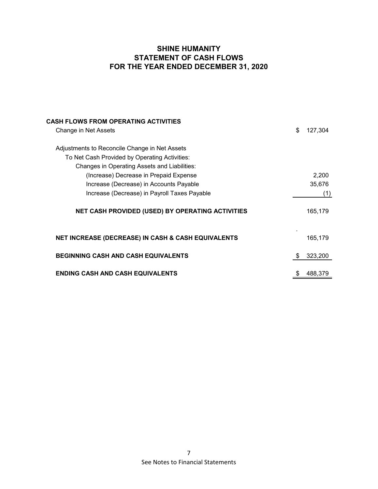## **SHINE HUMANITY STATEMENT OF CASH FLOWS FOR THE YEAR ENDED DECEMBER 31, 2020**

| <b>CASH FLOWS FROM OPERATING ACTIVITIES</b><br>Change in Net Assets | \$ | 127,304 |
|---------------------------------------------------------------------|----|---------|
| Adjustments to Reconcile Change in Net Assets                       |    |         |
| To Net Cash Provided by Operating Activities:                       |    |         |
| Changes in Operating Assets and Liabilities:                        |    |         |
| (Increase) Decrease in Prepaid Expense                              |    | 2,200   |
| Increase (Decrease) in Accounts Payable                             |    | 35,676  |
| Increase (Decrease) in Payroll Taxes Payable                        |    | (1)     |
| NET CASH PROVIDED (USED) BY OPERATING ACTIVITIES                    |    | 165,179 |
| <b>NET INCREASE (DECREASE) IN CASH &amp; CASH EQUIVALENTS</b>       |    | 165,179 |
| <b>BEGINNING CASH AND CASH EQUIVALENTS</b>                          | S  | 323,200 |
| <b>ENDING CASH AND CASH EQUIVALENTS</b>                             |    | 488,379 |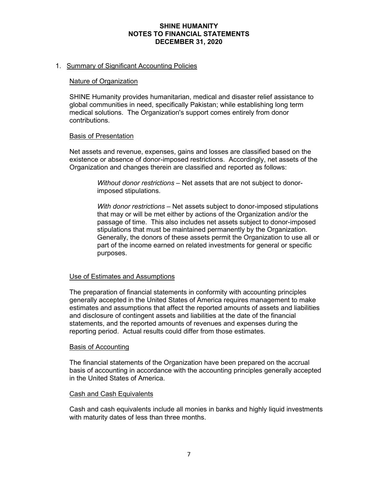### 1. Summary of Significant Accounting Policies

#### Nature of Organization

SHINE Humanity provides humanitarian, medical and disaster relief assistance to global communities in need, specifically Pakistan; while establishing long term medical solutions. The Organization's support comes entirely from donor contributions.

#### Basis of Presentation

Net assets and revenue, expenses, gains and losses are classified based on the existence or absence of donor-imposed restrictions. Accordingly, net assets of the Organization and changes therein are classified and reported as follows:

> *Without donor restrictions* – Net assets that are not subject to donorimposed stipulations.

*With donor restrictions* – Net assets subject to donor-imposed stipulations that may or will be met either by actions of the Organization and/or the passage of time. This also includes net assets subject to donor-imposed stipulations that must be maintained permanently by the Organization. Generally, the donors of these assets permit the Organization to use all or part of the income earned on related investments for general or specific purposes.

#### Use of Estimates and Assumptions

The preparation of financial statements in conformity with accounting principles generally accepted in the United States of America requires management to make estimates and assumptions that affect the reported amounts of assets and liabilities and disclosure of contingent assets and liabilities at the date of the financial statements, and the reported amounts of revenues and expenses during the reporting period. Actual results could differ from those estimates.

#### Basis of Accounting

The financial statements of the Organization have been prepared on the accrual basis of accounting in accordance with the accounting principles generally accepted in the United States of America.

#### **Cash and Cash Equivalents**

Cash and cash equivalents include all monies in banks and highly liquid investments with maturity dates of less than three months.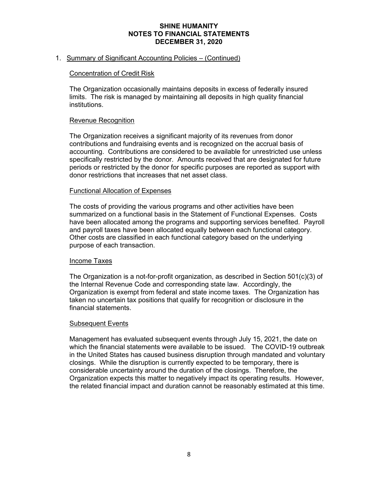## 1. Summary of Significant Accounting Policies – (Continued)

#### Concentration of Credit Risk

The Organization occasionally maintains deposits in excess of federally insured limits. The risk is managed by maintaining all deposits in high quality financial institutions.

#### Revenue Recognition

The Organization receives a significant majority of its revenues from donor contributions and fundraising events and is recognized on the accrual basis of accounting. Contributions are considered to be available for unrestricted use unless specifically restricted by the donor. Amounts received that are designated for future periods or restricted by the donor for specific purposes are reported as support with donor restrictions that increases that net asset class.

#### Functional Allocation of Expenses

The costs of providing the various programs and other activities have been summarized on a functional basis in the Statement of Functional Expenses. Costs have been allocated among the programs and supporting services benefited. Payroll and payroll taxes have been allocated equally between each functional category. Other costs are classified in each functional category based on the underlying purpose of each transaction.

#### Income Taxes

The Organization is a not-for-profit organization, as described in Section 501(c)(3) of the Internal Revenue Code and corresponding state law. Accordingly, the Organization is exempt from federal and state income taxes. The Organization has taken no uncertain tax positions that qualify for recognition or disclosure in the financial statements.

#### Subsequent Events

Management has evaluated subsequent events through July 15, 2021, the date on which the financial statements were available to be issued. The COVID-19 outbreak in the United States has caused business disruption through mandated and voluntary closings. While the disruption is currently expected to be temporary, there is considerable uncertainty around the duration of the closings. Therefore, the Organization expects this matter to negatively impact its operating results. However, the related financial impact and duration cannot be reasonably estimated at this time.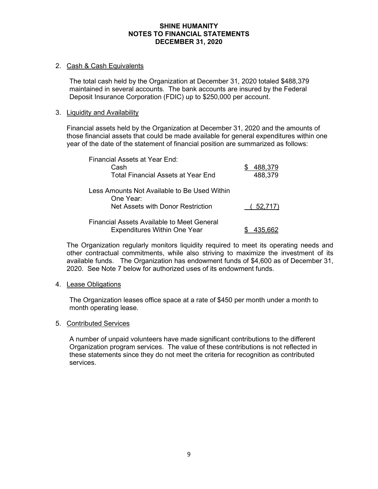## 2. Cash & Cash Equivalents

The total cash held by the Organization at December 31, 2020 totaled \$488,379 maintained in several accounts. The bank accounts are insured by the Federal Deposit Insurance Corporation (FDIC) up to \$250,000 per account.

### 3. Liquidity and Availability

Financial assets held by the Organization at December 31, 2020 and the amounts of those financial assets that could be made available for general expenditures within one year of the date of the statement of financial position are summarized as follows:

| Financial Assets at Year End:<br>Cash<br>Total Financial Assets at Year End                    | 488,379<br>488,379 |
|------------------------------------------------------------------------------------------------|--------------------|
| Less Amounts Not Available to Be Used Within<br>One Year:<br>Net Assets with Donor Restriction | 52,717)            |
| Financial Assets Available to Meet General<br><b>Expenditures Within One Year</b>              |                    |

The Organization regularly monitors liquidity required to meet its operating needs and other contractual commitments, while also striving to maximize the investment of its available funds. The Organization has endowment funds of \$4,600 as of December 31, 2020. See Note 7 below for authorized uses of its endowment funds.

#### 4. Lease Obligations

The Organization leases office space at a rate of \$450 per month under a month to month operating lease.

### 5. Contributed Services

A number of unpaid volunteers have made significant contributions to the different Organization program services. The value of these contributions is not reflected in these statements since they do not meet the criteria for recognition as contributed services.